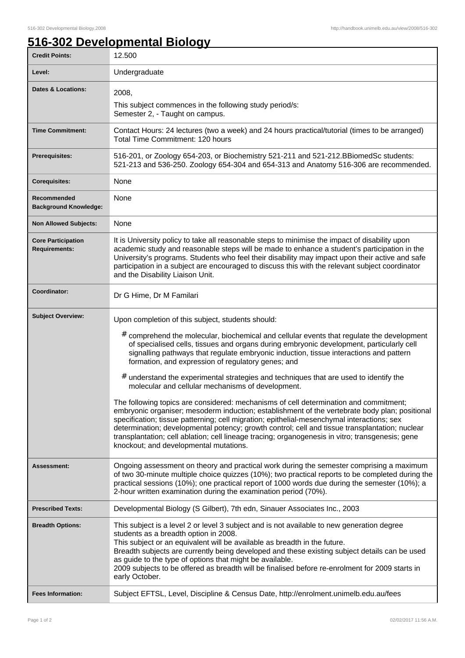1

## **516-302 Developmental Biology**

| <b>Credit Points:</b>                             | 12.500                                                                                                                                                                                                                                                                                                                                                                                                                                                                                                                                                                                                                                                                                                                                                                                                                                                                                                                                                                                                                                                                            |
|---------------------------------------------------|-----------------------------------------------------------------------------------------------------------------------------------------------------------------------------------------------------------------------------------------------------------------------------------------------------------------------------------------------------------------------------------------------------------------------------------------------------------------------------------------------------------------------------------------------------------------------------------------------------------------------------------------------------------------------------------------------------------------------------------------------------------------------------------------------------------------------------------------------------------------------------------------------------------------------------------------------------------------------------------------------------------------------------------------------------------------------------------|
| Level:                                            | Undergraduate                                                                                                                                                                                                                                                                                                                                                                                                                                                                                                                                                                                                                                                                                                                                                                                                                                                                                                                                                                                                                                                                     |
| <b>Dates &amp; Locations:</b>                     | 2008,                                                                                                                                                                                                                                                                                                                                                                                                                                                                                                                                                                                                                                                                                                                                                                                                                                                                                                                                                                                                                                                                             |
|                                                   | This subject commences in the following study period/s:<br>Semester 2, - Taught on campus.                                                                                                                                                                                                                                                                                                                                                                                                                                                                                                                                                                                                                                                                                                                                                                                                                                                                                                                                                                                        |
| <b>Time Commitment:</b>                           | Contact Hours: 24 lectures (two a week) and 24 hours practical/tutorial (times to be arranged)<br>Total Time Commitment: 120 hours                                                                                                                                                                                                                                                                                                                                                                                                                                                                                                                                                                                                                                                                                                                                                                                                                                                                                                                                                |
| <b>Prerequisites:</b>                             | 516-201, or Zoology 654-203, or Biochemistry 521-211 and 521-212. Bliomed Sc students:<br>521-213 and 536-250. Zoology 654-304 and 654-313 and Anatomy 516-306 are recommended.                                                                                                                                                                                                                                                                                                                                                                                                                                                                                                                                                                                                                                                                                                                                                                                                                                                                                                   |
| <b>Corequisites:</b>                              | None                                                                                                                                                                                                                                                                                                                                                                                                                                                                                                                                                                                                                                                                                                                                                                                                                                                                                                                                                                                                                                                                              |
| Recommended<br><b>Background Knowledge:</b>       | None                                                                                                                                                                                                                                                                                                                                                                                                                                                                                                                                                                                                                                                                                                                                                                                                                                                                                                                                                                                                                                                                              |
| <b>Non Allowed Subjects:</b>                      | None                                                                                                                                                                                                                                                                                                                                                                                                                                                                                                                                                                                                                                                                                                                                                                                                                                                                                                                                                                                                                                                                              |
| <b>Core Participation</b><br><b>Requirements:</b> | It is University policy to take all reasonable steps to minimise the impact of disability upon<br>academic study and reasonable steps will be made to enhance a student's participation in the<br>University's programs. Students who feel their disability may impact upon their active and safe<br>participation in a subject are encouraged to discuss this with the relevant subject coordinator<br>and the Disability Liaison Unit.                                                                                                                                                                                                                                                                                                                                                                                                                                                                                                                                                                                                                                          |
| Coordinator:                                      | Dr G Hime, Dr M Familari                                                                                                                                                                                                                                                                                                                                                                                                                                                                                                                                                                                                                                                                                                                                                                                                                                                                                                                                                                                                                                                          |
| <b>Subject Overview:</b>                          | Upon completion of this subject, students should:<br># comprehend the molecular, biochemical and cellular events that regulate the development<br>of specialised cells, tissues and organs during embryonic development, particularly cell<br>signalling pathways that regulate embryonic induction, tissue interactions and pattern<br>formation, and expression of regulatory genes; and<br># understand the experimental strategies and techniques that are used to identify the<br>molecular and cellular mechanisms of development.<br>The following topics are considered: mechanisms of cell determination and commitment;<br>embryonic organiser; mesoderm induction; establishment of the vertebrate body plan; positional<br>specification; tissue patterning; cell migration; epithelial-mesenchymal interactions; sex<br>determination; developmental potency; growth control; cell and tissue transplantation; nuclear<br>transplantation; cell ablation; cell lineage tracing; organogenesis in vitro; transgenesis; gene<br>knockout; and developmental mutations. |
| <b>Assessment:</b>                                | Ongoing assessment on theory and practical work during the semester comprising a maximum<br>of two 30-minute multiple choice quizzes (10%); two practical reports to be completed during the<br>practical sessions (10%); one practical report of 1000 words due during the semester (10%); a<br>2-hour written examination during the examination period (70%).                                                                                                                                                                                                                                                                                                                                                                                                                                                                                                                                                                                                                                                                                                                  |
| <b>Prescribed Texts:</b>                          | Developmental Biology (S Gilbert), 7th edn, Sinauer Associates Inc., 2003                                                                                                                                                                                                                                                                                                                                                                                                                                                                                                                                                                                                                                                                                                                                                                                                                                                                                                                                                                                                         |
| <b>Breadth Options:</b>                           | This subject is a level 2 or level 3 subject and is not available to new generation degree<br>students as a breadth option in 2008.<br>This subject or an equivalent will be available as breadth in the future.<br>Breadth subjects are currently being developed and these existing subject details can be used<br>as guide to the type of options that might be available.<br>2009 subjects to be offered as breadth will be finalised before re-enrolment for 2009 starts in<br>early October.                                                                                                                                                                                                                                                                                                                                                                                                                                                                                                                                                                                |
| <b>Fees Information:</b>                          | Subject EFTSL, Level, Discipline & Census Date, http://enrolment.unimelb.edu.au/fees                                                                                                                                                                                                                                                                                                                                                                                                                                                                                                                                                                                                                                                                                                                                                                                                                                                                                                                                                                                              |